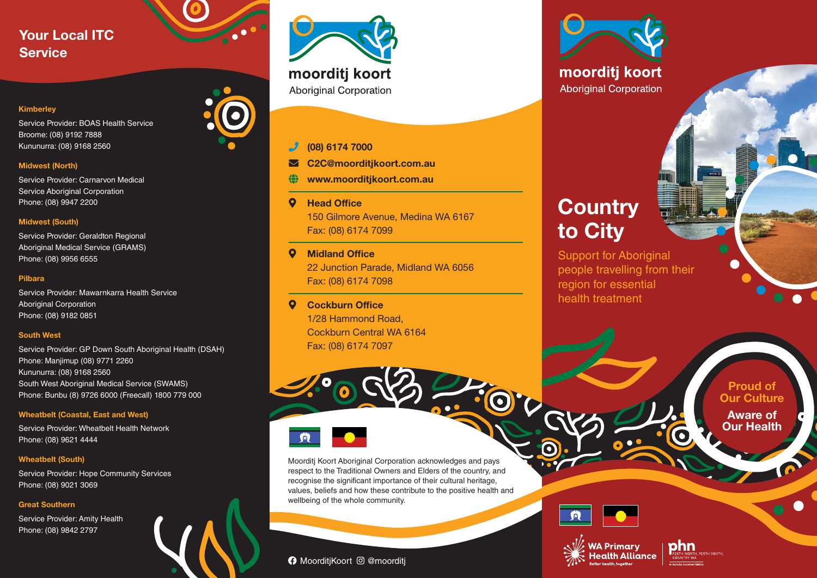# Your Local ITC **Service**

#### Kimberley

Service Provider: BOAS Health Service Broome: (08) 9192 7888 Kununurra: (08) 9168 2560

### Midwest (North)

Service Provider: Carnarvon Medical Service Aboriginal Corporation Phone: (08) 9947 2200

#### Midwest (South)

Service Provider: Geraldton Regional Aboriginal Medical Service (GRAMS) Phone: (08) 9956 6555

#### Pilbara

Service Provider: Mawarnkarra Health Service Aboriginal Corporation Phone: (08) 9182 0851

#### South West

Service Provider: GP Down South Aboriginal Health (DSAH) Phone: Manjimup (08) 9771 2260 Kununurra: (08) 9168 2560 South West Aboriginal Medical Service (SWAMS) Phone: Bunbu (8) 9726 6000 (Freecall) 1800 779 000

#### Wheatbelt (Coastal, East and West)

Service Provider: Wheatbelt Health Network Phone: (08) 9621 4444

#### Wheatbelt (South)

Service Provider: Hope Community Services Phone: (08) 9021 3069

#### Great Southern

Service Provider: Amity Health Phone: (08) 9842 2797



## phone (08) 6174 7000

- C2C@moorditjkoort.com.au
- www.moorditjkoort.com.au
- **Q** Head Office 150 Gilmore Avenue, Medina WA 6167 Fax: (08) 6174 7099
- **Q** Midland Office 22 Junction Parade, Midland WA 6056 Fax: (08) 6174 7098
- **Q** Cockburn Office 1/28 Hammond Road, Cockburn Central WA 6164 Fax: (08) 6174 7097



Moorditj Koort Aboriginal Corporation acknowledges and pays respect to the Traditional Owners and Elders of the country, and recognise the significant importance of their cultural heritage. values, beliefs and how these contribute to the positive health and wellbeing of the whole community.

## **A** MoorditiKoort <sup>o</sup> @moorditi



moorditj koort **Aboriginal Corporation** 

# **Country** to City

Support for Aboriginal people travelling from their region for essential health treatment

> Proud of **Our Culture** Aware of

Our Health



0



phn